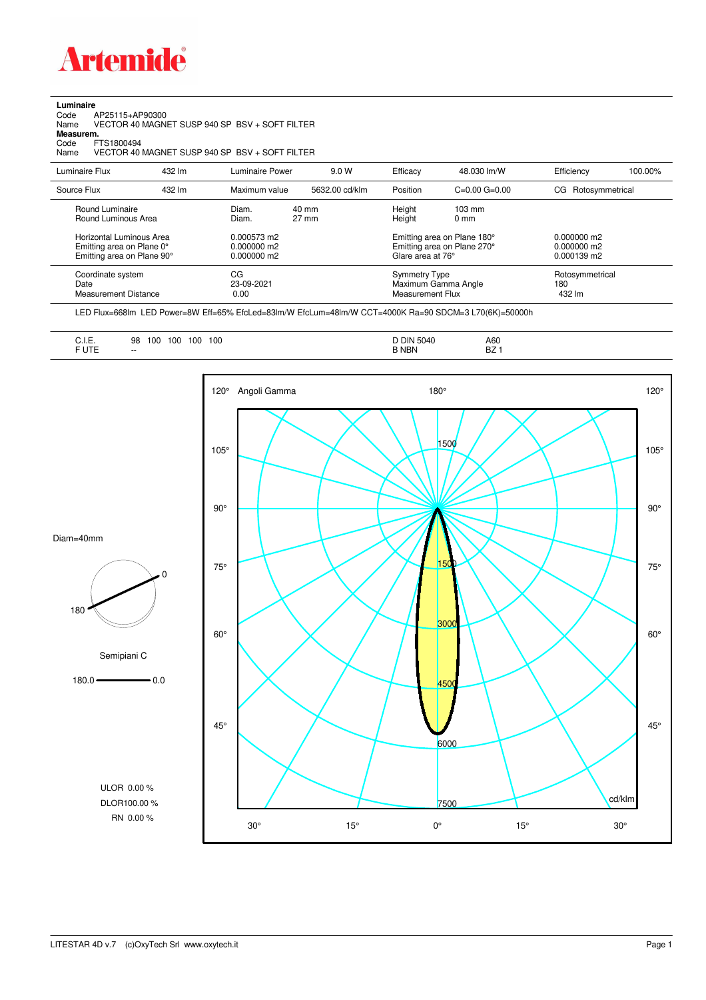

**Luminaire**

| Code<br>AP25115+AP90300<br>Name<br>Measurem.<br>FTS1800494<br>Code<br>Name          |        | VECTOR 40 MAGNET SUSP 940 SP BSV + SOFT FILTER<br>VECTOR 40 MAGNET SUSP 940 SP BSV + SOFT FILTER |                                    |                                                                                 |                                     |                                             |         |
|-------------------------------------------------------------------------------------|--------|--------------------------------------------------------------------------------------------------|------------------------------------|---------------------------------------------------------------------------------|-------------------------------------|---------------------------------------------|---------|
| Luminaire Flux                                                                      | 432 lm | Luminaire Power                                                                                  | 9.0 W                              | Efficacy                                                                        | 48.030 lm/W                         | Efficiency                                  | 100.00% |
| Source Flux                                                                         | 432 lm | Maximum value                                                                                    | 5632.00 cd/klm                     | Position                                                                        | $C=0.00$ $G=0.00$                   | Rotosymmetrical<br>CG.                      |         |
| Round Luminaire<br>Round Luminous Area                                              |        | Diam.<br>Diam.                                                                                   | $40 \text{ mm}$<br>$27 \text{ mm}$ | Height<br>Height                                                                | $103 \text{ mm}$<br>0 <sub>mm</sub> |                                             |         |
| Horizontal Luminous Area<br>Emitting area on Plane 0°<br>Emitting area on Plane 90° |        | 0.000573 m2<br>0.000000 m2<br>0.000000 m2                                                        |                                    | Emitting area on Plane 180°<br>Emitting area on Plane 270°<br>Glare area at 76° |                                     | $0.000000$ m2<br>0.000000 m2<br>0.000139 m2 |         |
| Coordinate system<br>Date<br><b>Measurement Distance</b>                            |        | CG<br>23-09-2021<br>0.00                                                                         |                                    | <b>Symmetry Type</b><br><b>Measurement Flux</b>                                 | Maximum Gamma Angle                 | Rotosymmetrical<br>180<br>432 lm            |         |

LED Flux=668lm LED Power=8W Eff=65% EfcLed=83lm/W EfcLum=48lm/W CCT=4000K Ra=90 SDCM=3 L70(6K)=50000h